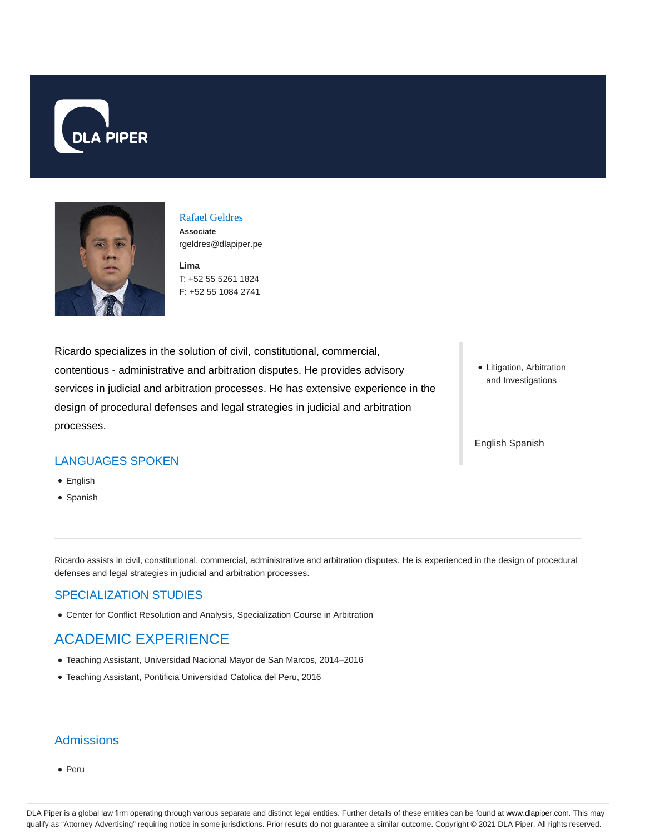



## Rafael Geldres **Associate**

**Lima** rgeldres@dlapiper.pe

T: +52 55 5261 1824 F: +52 55 1084 2741

Ricardo specializes in the solution of civil, constitutional, commercial, contentious - administrative and arbitration disputes. He provides advisory services in judicial and arbitration processes. He has extensive experience in the design of procedural defenses and legal strategies in judicial and arbitration processes.

• Litigation, Arbitration and Investigations

English Spanish

### LANGUAGES SPOKEN

- English
- Spanish

Ricardo assists in civil, constitutional, commercial, administrative and arbitration disputes. He is experienced in the design of procedural defenses and legal strategies in judicial and arbitration processes.

#### SPECIALIZATION STUDIES

Center for Conflict Resolution and Analysis, Specialization Course in Arbitration

# ACADEMIC EXPERIENCE

- Teaching Assistant, Universidad Nacional Mayor de San Marcos, 2014–2016
- Teaching Assistant, Pontificia Universidad Catolica del Peru, 2016

## **Admissions**

Peru

DLA Piper is a global law firm operating through various separate and distinct legal entities. Further details of these entities can be found at www.dlapiper.com. This may qualify as "Attorney Advertising" requiring notice in some jurisdictions. Prior results do not guarantee a similar outcome. Copyright © 2021 DLA Piper. All rights reserved.